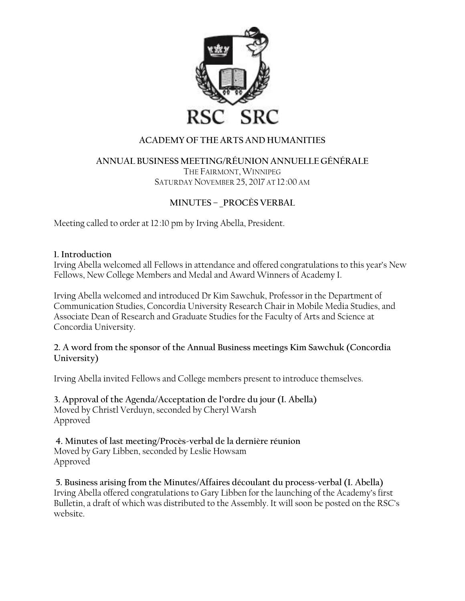

# **ACADEMY OF THE ARTS AND HUMANITIES**

#### **ANNUAL BUSINESS MEETING/RÉUNION ANNUELLE GÉNÉRALE** THE FAIRMONT, WINNIPEG SATURDAY NOVEMBER 25, 2017 AT 12:00 AM

# **MINUTES – \_PROCÈS VERBAL**

Meeting called to order at 12:10 pm by Irving Abella, President.

### **1. Introduction**

Irving Abella welcomed all Fellows in attendance and offered congratulations to this year's New Fellows, New College Members and Medal and Award Winners of Academy I.

Irving Abella welcomed and introduced Dr Kim Sawchuk, Professor in the Department of Communication Studies, Concordia University Research Chair in Mobile Media Studies, and Associate Dean of Research and Graduate Studies for the Faculty of Arts and Science at Concordia University.

### **2. A word from the sponsor of the Annual Business meetings Kim Sawchuk (Concordia University)**

Irving Abella invited Fellows and College members present to introduce themselves.

**3. Approval of the Agenda/Acceptation de l'ordre du jour (I. Abella)** Moved by Christl Verduyn, seconded by Cheryl Warsh Approved

**4. Minutes of last meeting/Procès-verbal de la dernière réunion** Moved by Gary Libben, seconded by Leslie Howsam Approved

**5. Business arising from the Minutes/Affaires découlant du process-verbal (I. Abella)** Irving Abella offered congratulations to Gary Libben for the launching of the Academy's first Bulletin, a draft of which was distributed to the Assembly. It will soon be posted on the RSC's website.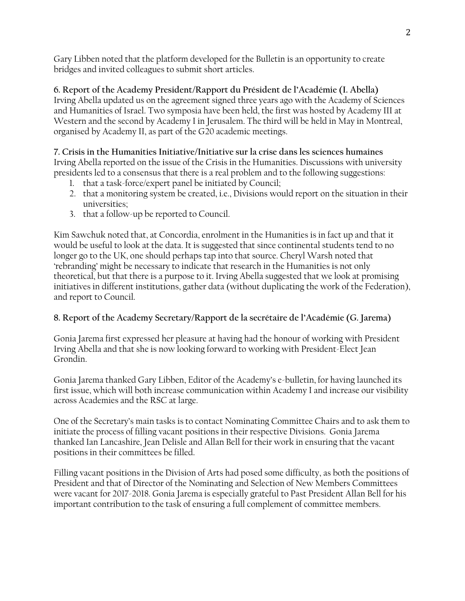Gary Libben noted that the platform developed for the Bulletin is an opportunity to create bridges and invited colleagues to submit short articles.

**6. Report of the Academy President/Rapport du Président de l'Académie (I. Abella)** Irving Abella updated us on the agreement signed three years ago with the Academy of Sciences and Humanities of Israel. Two symposia have been held, the first was hosted by Academy III at Western and the second by Academy I in Jerusalem. The third will be held in May in Montreal, organised by Academy II, as part of the G20 academic meetings.

**7. Crisis in the Humanities Initiative/Initiative sur la crise dans les sciences humaines** Irving Abella reported on the issue of the Crisis in the Humanities. Discussions with university presidents led to a consensus that there is a real problem and to the following suggestions:

- 1. that a task-force/expert panel be initiated by Council;
- 2. that a monitoring system be created, i.e., Divisions would report on the situation in their universities;
- 3. that a follow-up be reported to Council.

Kim Sawchuk noted that, at Concordia, enrolment in the Humanities is in fact up and that it would be useful to look at the data. It is suggested that since continental students tend to no longer go to the UK, one should perhaps tap into that source. Cheryl Warsh noted that 'rebranding' might be necessary to indicate that research in the Humanities is not only theoretical, but that there is a purpose to it. Irving Abella suggested that we look at promising initiatives in different institutions, gather data (without duplicating the work of the Federation), and report to Council.

# **8. Report of the Academy Secretary/Rapport de la secrétaire de l'Académie (G. Jarema)**

Gonia Jarema first expressed her pleasure at having had the honour of working with President Irving Abella and that she is now looking forward to working with President-Elect Jean Grondin.

Gonia Jarema thanked Gary Libben, Editor of the Academy's e-bulletin, for having launched its first issue, which will both increase communication within Academy I and increase our visibility across Academies and the RSC at large.

One of the Secretary's main tasks is to contact Nominating Committee Chairs and to ask them to initiate the process of filling vacant positions in their respective Divisions. Gonia Jarema thanked Ian Lancashire, Jean Delisle and Allan Bell for their work in ensuring that the vacant positions in their committees be filled.

Filling vacant positions in the Division of Arts had posed some difficulty, as both the positions of President and that of Director of the Nominating and Selection of New Members Committees were vacant for 2017-2018. Gonia Jarema is especially grateful to Past President Allan Bell for his important contribution to the task of ensuring a full complement of committee members.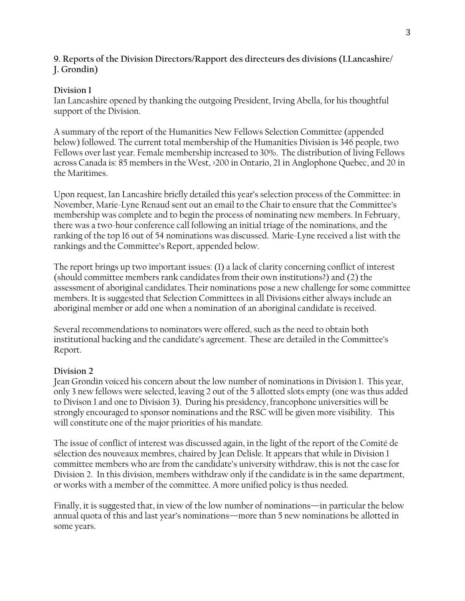### **9. Reports of the Division Directors/Rapport des directeurs des divisions (I.Lancashire/ J. Grondin)**

## **Division 1**

Ian Lancashire opened by thanking the outgoing President, Irving Abella, for his thoughtful support of the Division.

A summary of the report of the Humanities New Fellows Selection Committee (appended below) followed. The current total membership of the Humanities Division is 346 people, two Fellows over last year. Female membership increased to 30%. The distribution of living Fellows across Canada is: 85 members in the West, >200 in Ontario, 21 in Anglophone Quebec, and 20 in the Maritimes.

Upon request, Ian Lancashire briefly detailed this year's selection process of the Committee: in November, Marie-Lyne Renaud sent out an email to the Chair to ensure that the Committee's membership was complete and to begin the process of nominating new members. In February, there was a two-hour conference call following an initial triage of the nominations, and the ranking of the top 16 out of 54 nominations was discussed. Marie-Lyne received a list with the rankings and the Committee's Report, appended below.

The report brings up two important issues: (1) a lack of clarity concerning conflict of interest (should committee members rank candidates from their own institutions?) and (2) the assessment of aboriginal candidates.Their nominations pose a new challenge for some committee members. It is suggested that Selection Committees in all Divisions either always include an aboriginal member or add one when a nomination of an aboriginal candidate is received.

Several recommendations to nominators were offered, such as the need to obtain both institutional backing and the candidate's agreement. These are detailed in the Committee's Report.

# **Division 2**

Jean Grondin voiced his concern about the low number of nominations in Division 1. This year, only 3 new fellows were selected, leaving 2 out of the 5 allotted slots empty (one was thus added to Divison 1 and one to Division 3). During his presidency, francophone universities will be strongly encouraged to sponsor nominations and the RSC will be given more visibility. This will constitute one of the major priorities of his mandate.

The issue of conflict of interest was discussed again, in the light of the report of the Comité de sélection des nouveaux membres, chaired by Jean Delisle. It appears that while in Division 1 committee members who are from the candidate's university withdraw, this is not the case for Division 2. In this division, members withdraw only if the candidate is in the same department, or works with a member of the committee. A more unified policy is thus needed.

Finally, it is suggested that, in view of the low number of nominations—in particular the below annual quota of this and last year's nominations—more than 5 new nominations be allotted in some years.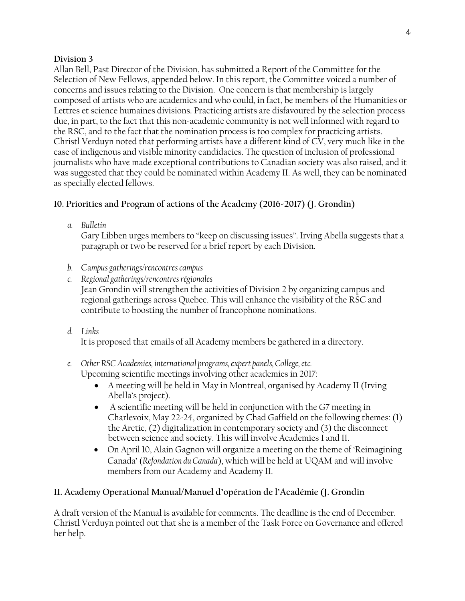### **Division 3**

Allan Bell, Past Director of the Division, has submitted a Report of the Committee for the Selection of New Fellows, appended below. In this report, the Committee voiced a number of concerns and issues relating to the Division. One concern is that membership is largely composed of artists who are academics and who could, in fact, be members of the Humanities or Lettres et science humaines divisions. Practicing artists are disfavoured by the selection process due, in part, to the fact that this non-academic community is not well informed with regard to the RSC, and to the fact that the nomination process is too complex for practicing artists. Christl Verduyn noted that performing artists have a different kind of CV, very much like in the case of indigenous and visible minority candidacies. The question of inclusion of professional journalists who have made exceptional contributions to Canadian society was also raised, and it was suggested that they could be nominated within Academy II. As well, they can be nominated as specially elected fellows.

# **10. Priorities and Program of actions of the Academy (2016-2017) (J. Grondin)**

*a. Bulletin*

Gary Libben urges members to "keep on discussing issues". Irving Abella suggests that a paragraph or two be reserved for a brief report by each Division.

- *b.* Ca*mpus gatherings/rencontres campus*
- *c. Regional gatherings/rencontres régionales* Jean Grondin will strengthen the activities of Division 2 by organizing campus and regional gatherings across Quebec. This will enhance the visibility of the RSC and contribute to boosting the number of francophone nominations.
- *d. Links*

It is proposed that emails of all Academy members be gathered in a directory.

#### *e. Other RSC Academies, international programs, expert panels, College, etc.* Upcoming scientific meetings involving other academies in 2017:

- A meeting will be held in May in Montreal, organised by Academy II (Irving Abella's project).
- A scientific meeting will be held in conjunction with the G7 meeting in Charlevoix, May 22-24, organized by Chad Gaffield on the following themes: (1) the Arctic, (2) digitalization in contemporary society and (3) the disconnect between science and society. This will involve Academies I and II.
- On April 10, Alain Gagnon will organize a meeting on the theme of 'Reimagining Canada' (*Refondation du Canada*), which will be held at UQAM and will involve members from our Academy and Academy II.

# **11. Academy Operational Manual/Manuel d'opération de l'Académie (J. Grondin**

A draft version of the Manual is available for comments. The deadline is the end of December. Christl Verduyn pointed out that she is a member of the Task Force on Governance and offered her help.